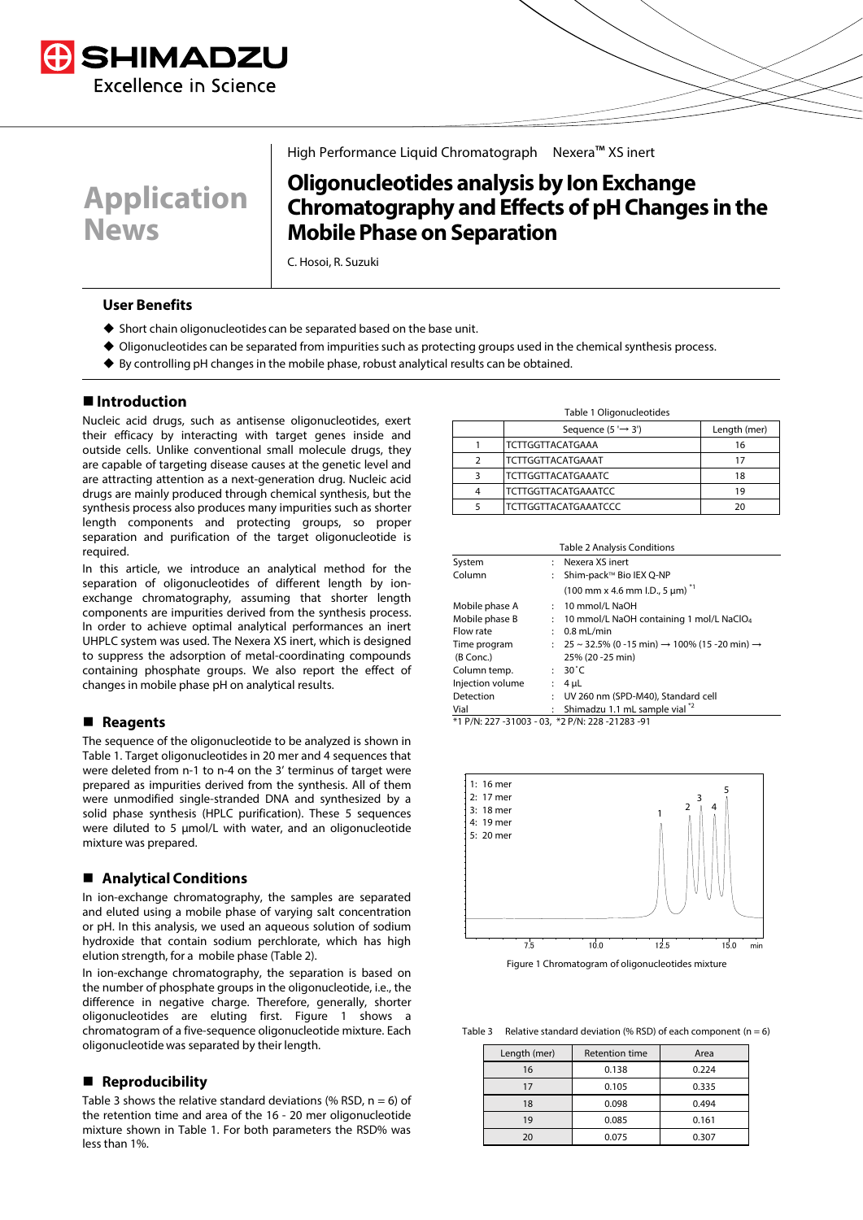



## High Performance Liquid Chromatograph Nexera™ XS inert

# **Oligonucleotides analysis by Ion Exchange Chromatography andEffects of pH Changes in the Mobile Phase on Separation**

C. Hosoi, R. Suzuki

#### **User Benefits**

- $\blacklozenge$  Short chain oligonucleotides can be separated based on the base unit.
- Oligonucleotides can be separated from impurities such as protecting groups used in the chemical synthesis process.
- By controlling pH changes in the mobile phase, robust analytical results can be obtained.

## **Introduction**

Nucleic acid drugs, such as antisense oligonucleotides, exert their efficacy by interacting with target genes inside and outside cells. Unlike conventional small molecule drugs, they are capable of targeting disease causes at the genetic level and are attracting attention as a next-generation drug. Nucleic acid drugs are mainly produced through chemical synthesis, but the synthesis process also produces many impurities such as shorter length components and protecting groups, so proper separation and purification of the target oligonucleotide is required.

In this article, we introduce an analytical method for the separation of oligonucleotides of different length by ionexchange chromatography, assuming that shorter length components are impurities derived from the synthesis process. In order to achieve optimal analytical performances an inert UHPLC system was used. The Nexera XS inert, which is designed to suppress the adsorption of metal-coordinating compounds containing phosphate groups. We also report the effect of changes in mobile phase pH on analytical results.

#### **Reagents**

The sequence of the oligonucleotide to be analyzed is shown in Table 1. Target oligonucleotides in 20 mer and 4 sequences that were deleted from n-1 to n-4 on the 3' terminus of target were prepared as impurities derived from the synthesis. All of them were unmodified single-stranded DNA and synthesized by a solid phase synthesis (HPLC purification). These 5 sequences were diluted to 5 μmol/L with water, and an oligonucleotide mixture was prepared.

### **Analytical Conditions**

In ion-exchange chromatography, the samples are separated and eluted using a mobile phase of varying salt concentration or pH. In this analysis, we used an aqueous solution of sodium hydroxide that contain sodium perchlorate, which has high elution strength, for a mobile phase (Table 2).

In ion-exchange chromatography, the separation is based on the number of phosphate groups in the oligonucleotide, i.e., the difference in negative charge. Therefore, generally, shorter oligonucleotides are eluting first. Figure 1 shows a chromatogram of a five-sequence oligonucleotide mixture. Each oligonucleotide was separated by their length.

#### ■ Reproducibility

Table 3 shows the relative standard deviations (% RSD,  $n = 6$ ) of the retention time and area of the 16 - 20 mer oligonucleotide mixture shown in Table 1. For both parameters the RSD% was lessthan 1%.

| Table 1 Oligonucleotides |
|--------------------------|
|--------------------------|

|   | Sequence $(5' \rightarrow 3')$ | Length (mer) |
|---|--------------------------------|--------------|
|   | <b>TCTTGGTTACATGAAA</b>        | 16           |
|   | <b>TCTTGGTTACATGAAAT</b>       | 17           |
| ঽ | <b>TCTTGGTTACATGAAATC</b>      | 18           |
|   | <b>TCTTGGTTACATGAAATCC</b>     | 19           |
|   | <b>TCTTGGTTACATGAAATCCC</b>    | 20           |

| <b>Table 2 Analysis Conditions</b> |              |                                                                                 |  |  |
|------------------------------------|--------------|---------------------------------------------------------------------------------|--|--|
| System                             |              | Nexera XS inert                                                                 |  |  |
| Column                             |              | : Shim-pack™ Bio IEX Q-NP                                                       |  |  |
|                                    |              | $(100 \text{ mm} \times 4.6 \text{ mm} \cdot 1.0., 5 \text{ µm})$ <sup>*1</sup> |  |  |
| Mobile phase A                     |              | $: 10$ mmol/L NaOH                                                              |  |  |
| Mobile phase B                     |              | : 10 mmol/L NaOH containing 1 mol/L NaClO <sub>4</sub>                          |  |  |
| Flow rate                          |              | $: 0.8$ mL/min                                                                  |  |  |
| Time program                       |              | : $25 \sim 32.5\%$ (0 -15 min) → 100% (15 -20 min) →                            |  |  |
| (B Conc.)                          |              | 25% (20 - 25 min)                                                               |  |  |
| Column temp.                       |              | $: 30^{\circ}$ C                                                                |  |  |
| Injection volume                   |              | : $4 \mu L$                                                                     |  |  |
| Detection                          | $\mathbf{r}$ | UV 260 nm (SPD-M40), Standard cell                                              |  |  |
| Vial                               |              | : Shimadzu 1.1 mL sample vial $^*$ <sup>2</sup>                                 |  |  |

\*1 P/N: 227 -31003 - 03, \*2 P/N: 228 -21283 -91



Figure 1 Chromatogram of oligonucleotides mixture

Table 3 Relative standard deviation (% RSD) of each component ( $n = 6$ )

| Length (mer) | Retention time | Area  |
|--------------|----------------|-------|
| 16           | 0.138          | 0.224 |
| 17           | 0.105          | 0.335 |
| 18           | 0.098          | 0.494 |
| 19           | 0.085          | 0.161 |
| 20           | 0.075          | 0.307 |